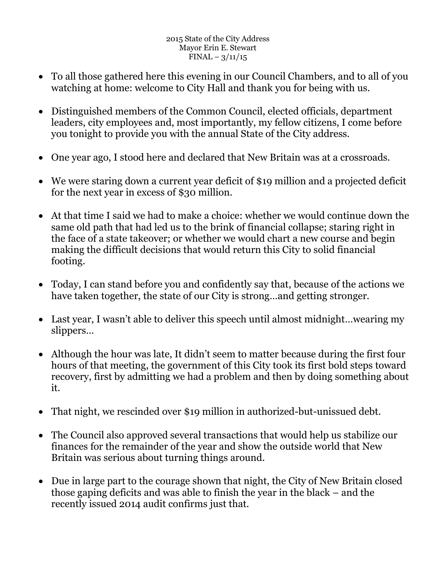- To all those gathered here this evening in our Council Chambers, and to all of you watching at home: welcome to City Hall and thank you for being with us.
- Distinguished members of the Common Council, elected officials, department leaders, city employees and, most importantly, my fellow citizens, I come before you tonight to provide you with the annual State of the City address.
- One year ago, I stood here and declared that New Britain was at a crossroads.
- We were staring down a current year deficit of \$19 million and a projected deficit for the next year in excess of \$30 million.
- At that time I said we had to make a choice: whether we would continue down the same old path that had led us to the brink of financial collapse; staring right in the face of a state takeover; or whether we would chart a new course and begin making the difficult decisions that would return this City to solid financial footing.
- Today, I can stand before you and confidently say that, because of the actions we have taken together, the state of our City is strong…and getting stronger.
- Last year, I wasn't able to deliver this speech until almost midnight…wearing my slippers…
- Although the hour was late, It didn't seem to matter because during the first four hours of that meeting, the government of this City took its first bold steps toward recovery, first by admitting we had a problem and then by doing something about it.
- That night, we rescinded over \$19 million in authorized-but-unissued debt.
- The Council also approved several transactions that would help us stabilize our finances for the remainder of the year and show the outside world that New Britain was serious about turning things around.
- Due in large part to the courage shown that night, the City of New Britain closed those gaping deficits and was able to finish the year in the black – and the recently issued 2014 audit confirms just that.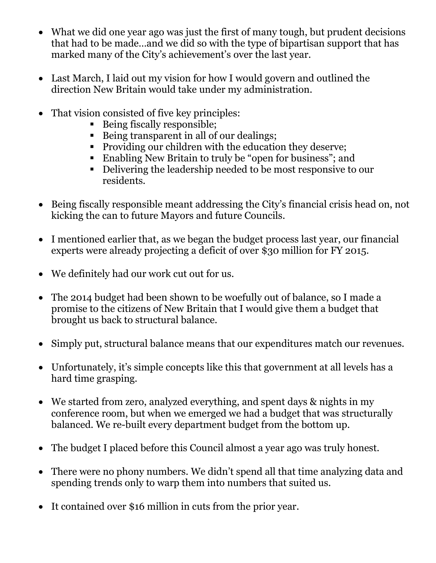- What we did one year ago was just the first of many tough, but prudent decisions that had to be made…and we did so with the type of bipartisan support that has marked many of the City's achievement's over the last year.
- Last March, I laid out my vision for how I would govern and outlined the direction New Britain would take under my administration.
- That vision consisted of five key principles:
	- Being fiscally responsible;
	- Being transparent in all of our dealings;
	- Providing our children with the education they deserve;
	- Enabling New Britain to truly be "open for business"; and
	- Delivering the leadership needed to be most responsive to our residents.
- Being fiscally responsible meant addressing the City's financial crisis head on, not kicking the can to future Mayors and future Councils.
- I mentioned earlier that, as we began the budget process last year, our financial experts were already projecting a deficit of over \$30 million for FY 2015.
- We definitely had our work cut out for us.
- The 2014 budget had been shown to be woefully out of balance, so I made a promise to the citizens of New Britain that I would give them a budget that brought us back to structural balance.
- Simply put, structural balance means that our expenditures match our revenues.
- Unfortunately, it's simple concepts like this that government at all levels has a hard time grasping.
- We started from zero, analyzed everything, and spent days & nights in my conference room, but when we emerged we had a budget that was structurally balanced. We re-built every department budget from the bottom up.
- The budget I placed before this Council almost a year ago was truly honest.
- There were no phony numbers. We didn't spend all that time analyzing data and spending trends only to warp them into numbers that suited us.
- It contained over \$16 million in cuts from the prior year.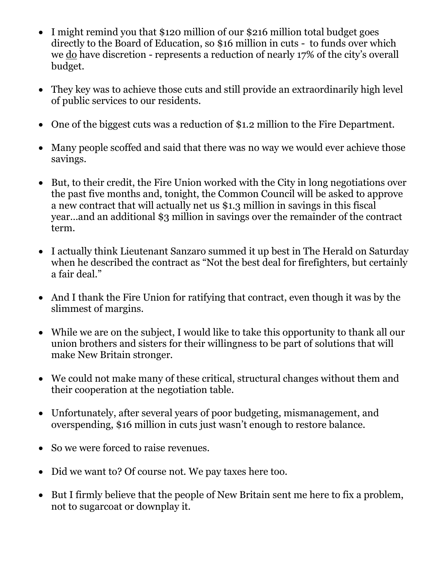- I might remind you that \$120 million of our \$216 million total budget goes directly to the Board of Education, so \$16 million in cuts - to funds over which we do have discretion - represents a reduction of nearly 17% of the city's overall budget.
- They key was to achieve those cuts and still provide an extraordinarily high level of public services to our residents.
- One of the biggest cuts was a reduction of \$1.2 million to the Fire Department.
- Many people scoffed and said that there was no way we would ever achieve those savings.
- But, to their credit, the Fire Union worked with the City in long negotiations over the past five months and, tonight, the Common Council will be asked to approve a new contract that will actually net us \$1.3 million in savings in this fiscal year…and an additional \$3 million in savings over the remainder of the contract term.
- I actually think Lieutenant Sanzaro summed it up best in The Herald on Saturday when he described the contract as "Not the best deal for firefighters, but certainly a fair deal."
- And I thank the Fire Union for ratifying that contract, even though it was by the slimmest of margins.
- While we are on the subject, I would like to take this opportunity to thank all our union brothers and sisters for their willingness to be part of solutions that will make New Britain stronger.
- We could not make many of these critical, structural changes without them and their cooperation at the negotiation table.
- Unfortunately, after several years of poor budgeting, mismanagement, and overspending, \$16 million in cuts just wasn't enough to restore balance.
- So we were forced to raise revenues.
- Did we want to? Of course not. We pay taxes here too.
- But I firmly believe that the people of New Britain sent me here to fix a problem, not to sugarcoat or downplay it.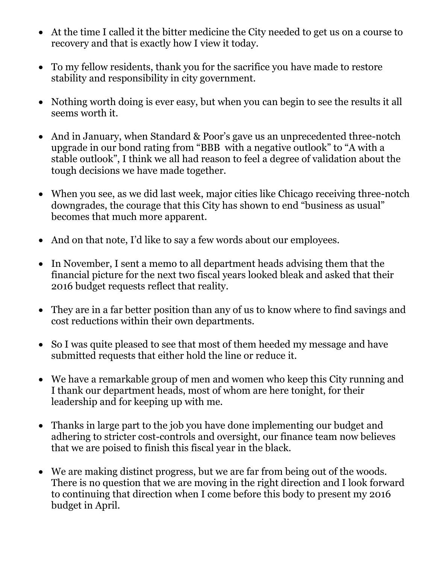- At the time I called it the bitter medicine the City needed to get us on a course to recovery and that is exactly how I view it today.
- To my fellow residents, thank you for the sacrifice you have made to restore stability and responsibility in city government.
- Nothing worth doing is ever easy, but when you can begin to see the results it all seems worth it.
- And in January, when Standard & Poor's gave us an unprecedented three-notch upgrade in our bond rating from "BBB with a negative outlook" to "A with a stable outlook", I think we all had reason to feel a degree of validation about the tough decisions we have made together.
- When you see, as we did last week, major cities like Chicago receiving three-notch downgrades, the courage that this City has shown to end "business as usual" becomes that much more apparent.
- And on that note, I'd like to say a few words about our employees.
- In November, I sent a memo to all department heads advising them that the financial picture for the next two fiscal years looked bleak and asked that their 2016 budget requests reflect that reality.
- They are in a far better position than any of us to know where to find savings and cost reductions within their own departments.
- So I was quite pleased to see that most of them heeded my message and have submitted requests that either hold the line or reduce it.
- We have a remarkable group of men and women who keep this City running and I thank our department heads, most of whom are here tonight, for their leadership and for keeping up with me.
- Thanks in large part to the job you have done implementing our budget and adhering to stricter cost-controls and oversight, our finance team now believes that we are poised to finish this fiscal year in the black.
- We are making distinct progress, but we are far from being out of the woods. There is no question that we are moving in the right direction and I look forward to continuing that direction when I come before this body to present my 2016 budget in April.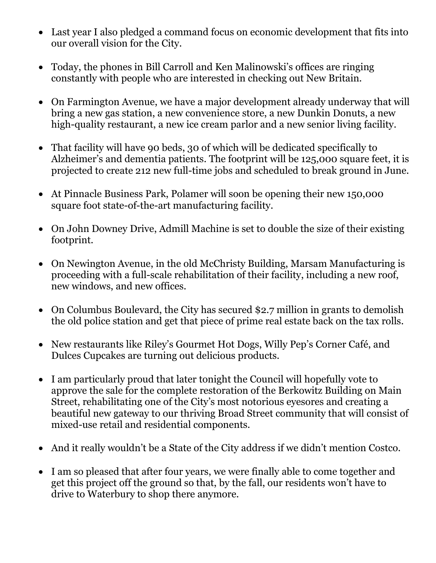- Last year I also pledged a command focus on economic development that fits into our overall vision for the City.
- Today, the phones in Bill Carroll and Ken Malinowski's offices are ringing constantly with people who are interested in checking out New Britain.
- On Farmington Avenue, we have a major development already underway that will bring a new gas station, a new convenience store, a new Dunkin Donuts, a new high-quality restaurant, a new ice cream parlor and a new senior living facility.
- That facility will have 90 beds, 30 of which will be dedicated specifically to Alzheimer's and dementia patients. The footprint will be 125,000 square feet, it is projected to create 212 new full-time jobs and scheduled to break ground in June.
- At Pinnacle Business Park, Polamer will soon be opening their new 150,000 square foot state-of-the-art manufacturing facility.
- On John Downey Drive, Admill Machine is set to double the size of their existing footprint.
- On Newington Avenue, in the old McChristy Building, Marsam Manufacturing is proceeding with a full-scale rehabilitation of their facility, including a new roof, new windows, and new offices.
- On Columbus Boulevard, the City has secured \$2.7 million in grants to demolish the old police station and get that piece of prime real estate back on the tax rolls.
- New restaurants like Riley's Gourmet Hot Dogs, Willy Pep's Corner Café, and Dulces Cupcakes are turning out delicious products.
- I am particularly proud that later tonight the Council will hopefully vote to approve the sale for the complete restoration of the Berkowitz Building on Main Street, rehabilitating one of the City's most notorious eyesores and creating a beautiful new gateway to our thriving Broad Street community that will consist of mixed-use retail and residential components.
- And it really wouldn't be a State of the City address if we didn't mention Costco.
- I am so pleased that after four years, we were finally able to come together and get this project off the ground so that, by the fall, our residents won't have to drive to Waterbury to shop there anymore.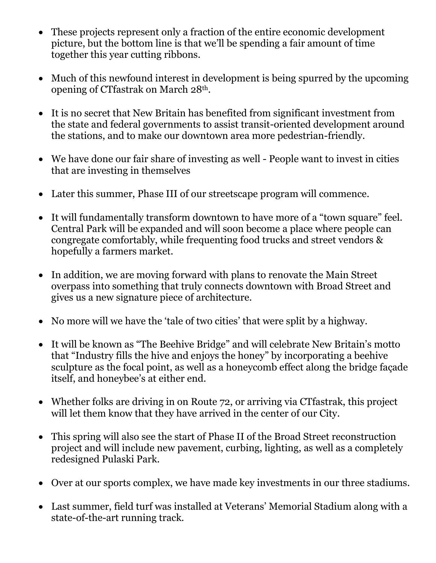- These projects represent only a fraction of the entire economic development picture, but the bottom line is that we'll be spending a fair amount of time together this year cutting ribbons.
- Much of this newfound interest in development is being spurred by the upcoming opening of CTfastrak on March 28th.
- It is no secret that New Britain has benefited from significant investment from the state and federal governments to assist transit-oriented development around the stations, and to make our downtown area more pedestrian-friendly.
- We have done our fair share of investing as well People want to invest in cities that are investing in themselves
- Later this summer, Phase III of our streetscape program will commence.
- It will fundamentally transform downtown to have more of a "town square" feel. Central Park will be expanded and will soon become a place where people can congregate comfortably, while frequenting food trucks and street vendors & hopefully a farmers market.
- In addition, we are moving forward with plans to renovate the Main Street overpass into something that truly connects downtown with Broad Street and gives us a new signature piece of architecture.
- No more will we have the 'tale of two cities' that were split by a highway.
- It will be known as "The Beehive Bridge" and will celebrate New Britain's motto that "Industry fills the hive and enjoys the honey" by incorporating a beehive sculpture as the focal point, as well as a honeycomb effect along the bridge façade itself, and honeybee's at either end.
- Whether folks are driving in on Route 72, or arriving via CT fastrak, this project will let them know that they have arrived in the center of our City.
- This spring will also see the start of Phase II of the Broad Street reconstruction project and will include new pavement, curbing, lighting, as well as a completely redesigned Pulaski Park.
- Over at our sports complex, we have made key investments in our three stadiums.
- Last summer, field turf was installed at Veterans' Memorial Stadium along with a state-of-the-art running track.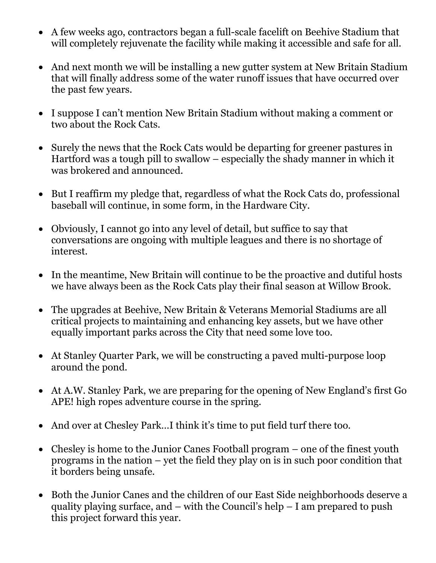- A few weeks ago, contractors began a full-scale facelift on Beehive Stadium that will completely rejuvenate the facility while making it accessible and safe for all.
- And next month we will be installing a new gutter system at New Britain Stadium that will finally address some of the water runoff issues that have occurred over the past few years.
- I suppose I can't mention New Britain Stadium without making a comment or two about the Rock Cats.
- Surely the news that the Rock Cats would be departing for greener pastures in Hartford was a tough pill to swallow – especially the shady manner in which it was brokered and announced.
- But I reaffirm my pledge that, regardless of what the Rock Cats do, professional baseball will continue, in some form, in the Hardware City.
- Obviously, I cannot go into any level of detail, but suffice to say that conversations are ongoing with multiple leagues and there is no shortage of interest.
- In the meantime, New Britain will continue to be the proactive and dutiful hosts we have always been as the Rock Cats play their final season at Willow Brook.
- The upgrades at Beehive, New Britain & Veterans Memorial Stadiums are all critical projects to maintaining and enhancing key assets, but we have other equally important parks across the City that need some love too.
- At Stanley Quarter Park, we will be constructing a paved multi-purpose loop around the pond.
- At A.W. Stanley Park, we are preparing for the opening of New England's first Go APE! high ropes adventure course in the spring.
- And over at Chesley Park…I think it's time to put field turf there too.
- Chesley is home to the Junior Canes Football program one of the finest youth programs in the nation – yet the field they play on is in such poor condition that it borders being unsafe.
- Both the Junior Canes and the children of our East Side neighborhoods deserve a quality playing surface, and – with the Council's help – I am prepared to push this project forward this year.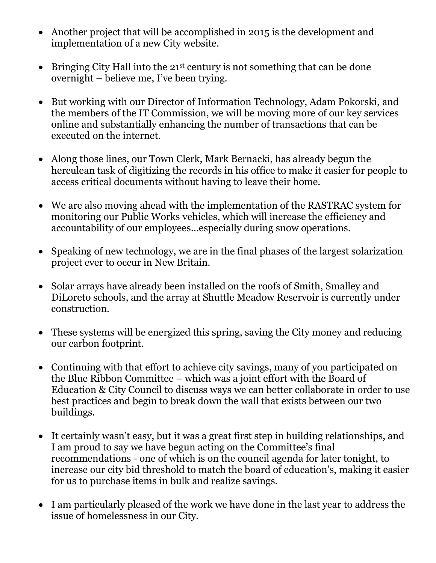- Another project that will be accomplished in 2015 is the development and implementation of a new City website.
- $\bullet$  Bringing City Hall into the 21<sup>st</sup> century is not something that can be done overnight – believe me, I've been trying.
- But working with our Director of Information Technology, Adam Pokorski, and the members of the IT Commission, we will be moving more of our key services online and substantially enhancing the number of transactions that can be executed on the internet.
- Along those lines, our Town Clerk, Mark Bernacki, has already begun the herculean task of digitizing the records in his office to make it easier for people to access critical documents without having to leave their home.
- We are also moving ahead with the implementation of the RASTRAC system for monitoring our Public Works vehicles, which will increase the efficiency and accountability of our employees…especially during snow operations.
- Speaking of new technology, we are in the final phases of the largest solarization project ever to occur in New Britain.
- Solar arrays have already been installed on the roofs of Smith, Smalley and DiLoreto schools, and the array at Shuttle Meadow Reservoir is currently under construction.
- These systems will be energized this spring, saving the City money and reducing our carbon footprint.
- Continuing with that effort to achieve city savings, many of you participated on the Blue Ribbon Committee – which was a joint effort with the Board of Education & City Council to discuss ways we can better collaborate in order to use best practices and begin to break down the wall that exists between our two buildings.
- It certainly wasn't easy, but it was a great first step in building relationships, and I am proud to say we have begun acting on the Committee's final recommendations - one of which is on the council agenda for later tonight, to increase our city bid threshold to match the board of education's, making it easier for us to purchase items in bulk and realize savings.
- I am particularly pleased of the work we have done in the last year to address the issue of homelessness in our City.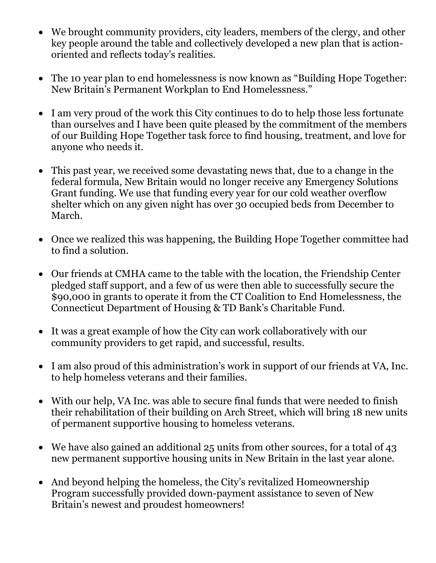- We brought community providers, city leaders, members of the clergy, and other key people around the table and collectively developed a new plan that is actionoriented and reflects today's realities.
- The 10 year plan to end homelessness is now known as "Building Hope Together: New Britain's Permanent Workplan to End Homelessness."
- I am very proud of the work this City continues to do to help those less fortunate than ourselves and I have been quite pleased by the commitment of the members of our Building Hope Together task force to find housing, treatment, and love for anyone who needs it.
- This past year, we received some devastating news that, due to a change in the federal formula, New Britain would no longer receive any Emergency Solutions Grant funding. We use that funding every year for our cold weather overflow shelter which on any given night has over 30 occupied beds from December to March.
- Once we realized this was happening, the Building Hope Together committee had to find a solution.
- Our friends at CMHA came to the table with the location, the Friendship Center pledged staff support, and a few of us were then able to successfully secure the \$90,000 in grants to operate it from the CT Coalition to End Homelessness, the Connecticut Department of Housing & TD Bank's Charitable Fund.
- It was a great example of how the City can work collaboratively with our community providers to get rapid, and successful, results.
- I am also proud of this administration's work in support of our friends at VA, Inc. to help homeless veterans and their families.
- With our help, VA Inc. was able to secure final funds that were needed to finish their rehabilitation of their building on Arch Street, which will bring 18 new units of permanent supportive housing to homeless veterans.
- We have also gained an additional 25 units from other sources, for a total of 43 new permanent supportive housing units in New Britain in the last year alone.
- And beyond helping the homeless, the City's revitalized Homeownership Program successfully provided down-payment assistance to seven of New Britain's newest and proudest homeowners!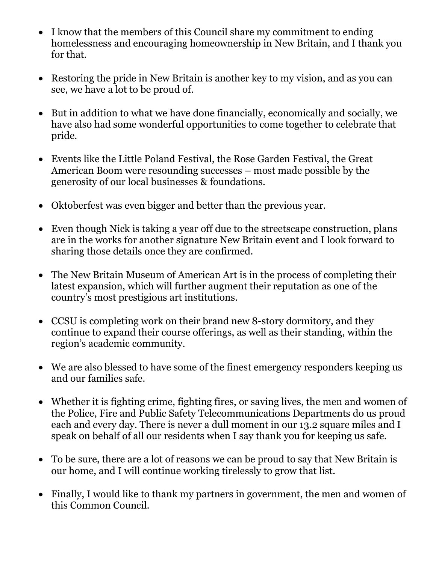- I know that the members of this Council share my commitment to ending homelessness and encouraging homeownership in New Britain, and I thank you for that.
- Restoring the pride in New Britain is another key to my vision, and as you can see, we have a lot to be proud of.
- But in addition to what we have done financially, economically and socially, we have also had some wonderful opportunities to come together to celebrate that pride.
- Events like the Little Poland Festival, the Rose Garden Festival, the Great American Boom were resounding successes – most made possible by the generosity of our local businesses & foundations.
- Oktoberfest was even bigger and better than the previous year.
- Even though Nick is taking a year off due to the streetscape construction, plans are in the works for another signature New Britain event and I look forward to sharing those details once they are confirmed.
- The New Britain Museum of American Art is in the process of completing their latest expansion, which will further augment their reputation as one of the country's most prestigious art institutions.
- CCSU is completing work on their brand new 8-story dormitory, and they continue to expand their course offerings, as well as their standing, within the region's academic community.
- We are also blessed to have some of the finest emergency responders keeping us and our families safe.
- Whether it is fighting crime, fighting fires, or saving lives, the men and women of the Police, Fire and Public Safety Telecommunications Departments do us proud each and every day. There is never a dull moment in our 13.2 square miles and I speak on behalf of all our residents when I say thank you for keeping us safe.
- To be sure, there are a lot of reasons we can be proud to say that New Britain is our home, and I will continue working tirelessly to grow that list.
- Finally, I would like to thank my partners in government, the men and women of this Common Council.